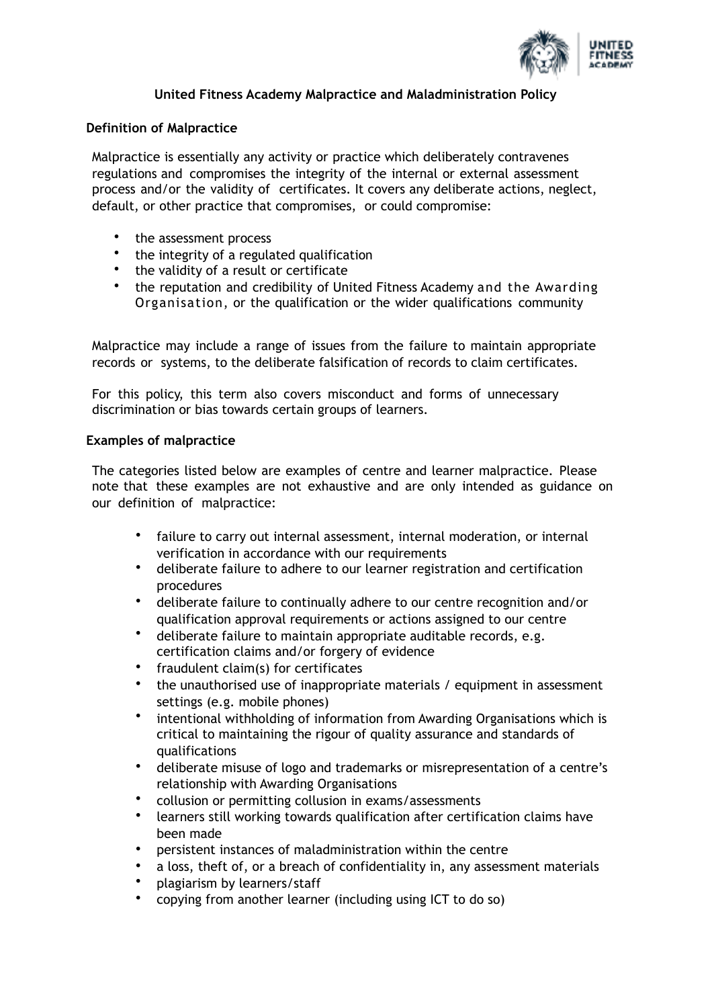

# **United Fitness Academy Malpractice and Maladministration Policy**

# **Definition of Malpractice**

Malpractice is essentially any activity or practice which deliberately contravenes regulations and compromises the integrity of the internal or external assessment process and/or the validity of certificates. It covers any deliberate actions, neglect, default, or other practice that compromises, or could compromise:

- the assessment process
- the integrity of a regulated qualification
- the validity of a result or certificate
- the reputation and credibility of United Fitness Academy and the Awarding Organisation, or the qualification or the wider qualifications community

Malpractice may include a range of issues from the failure to maintain appropriate records or systems, to the deliberate falsification of records to claim certificates.

For this policy, this term also covers misconduct and forms of unnecessary discrimination or bias towards certain groups of learners.

# **Examples of malpractice**

The categories listed below are examples of centre and learner malpractice. Please note that these examples are not exhaustive and are only intended as guidance on our definition of malpractice:

- failure to carry out internal assessment, internal moderation, or internal verification in accordance with our requirements
- deliberate failure to adhere to our learner registration and certification procedures
- deliberate failure to continually adhere to our centre recognition and/or qualification approval requirements or actions assigned to our centre
- deliberate failure to maintain appropriate auditable records, e.g. certification claims and/or forgery of evidence
- fraudulent claim(s) for certificates
- the unauthorised use of inappropriate materials / equipment in assessment settings (e.g. mobile phones)
- intentional withholding of information from Awarding Organisations which is critical to maintaining the rigour of quality assurance and standards of qualifications
- deliberate misuse of logo and trademarks or misrepresentation of a centre's relationship with Awarding Organisations
- collusion or permitting collusion in exams/assessments
- learners still working towards qualification after certification claims have been made
- persistent instances of maladministration within the centre
- a loss, theft of, or a breach of confidentiality in, any assessment materials
- plagiarism by learners/staff
- copying from another learner (including using ICT to do so)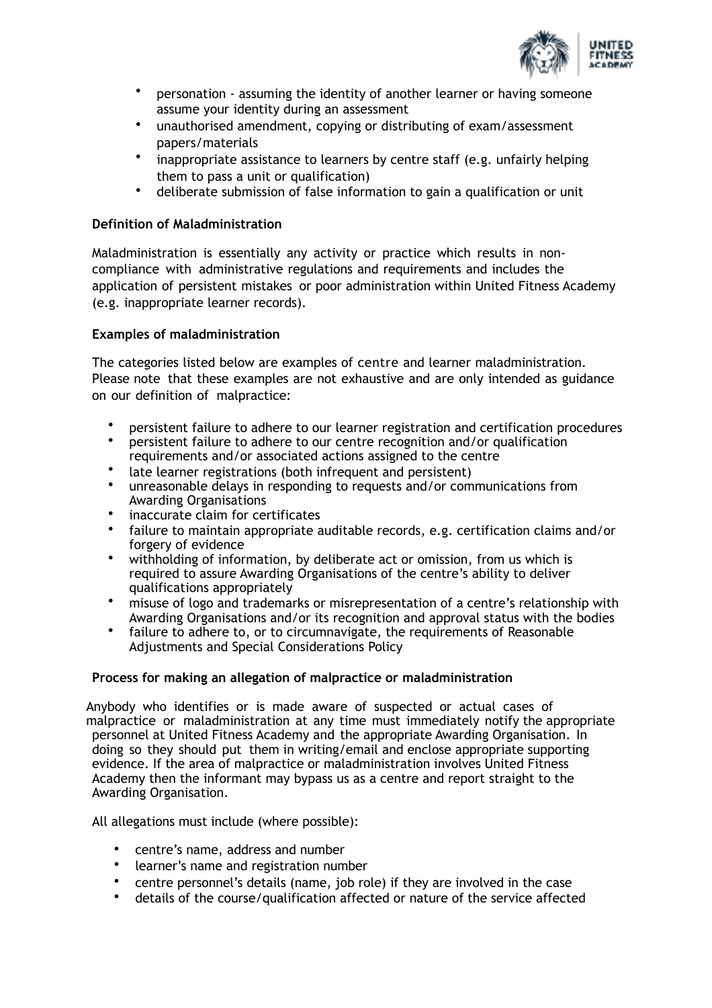

- personation assuming the identity of another learner or having someone assume your identity during an assessment
- unauthorised amendment, copying or distributing of exam/assessment papers/materials
- inappropriate assistance to learners by centre staff (e.g. unfairly helping them to pass a unit or qualification)
- deliberate submission of false information to gain a qualification or unit

# **Definition of Maladministration**

Maladministration is essentially any activity or practice which results in noncompliance with administrative regulations and requirements and includes the application of persistent mistakes or poor administration within United Fitness Academy (e.g. inappropriate learner records).

# **Examples of maladministration**

The categories listed below are examples of centre and learner maladministration. Please note that these examples are not exhaustive and are only intended as guidance on our definition of malpractice:

- persistent failure to adhere to our learner registration and certification procedures
- persistent failure to adhere to our centre recognition and/or qualification requirements and/or associated actions assigned to the centre
- 
- late learner registrations (both infrequent and persistent)<br>• unreasonable delays in responding to requests and/or com • unreasonable delays in responding to requests and/or communications from Awarding Organisations
- inaccurate claim for certificates
- failure to maintain appropriate auditable records, e.g. certification claims and/or forgery of evidence
- withholding of information, by deliberate act or omission, from us which is required to assure Awarding Organisations of the centre's ability to deliver qualifications appropriately
- misuse of logo and trademarks or misrepresentation of a centre's relationship with Awarding Organisations and/or its recognition and approval status with the bodies
- failure to adhere to, or to circumnavigate, the requirements of Reasonable Adjustments and Special Considerations Policy

# **Process for making an allegation of malpractice or maladministration**

Anybody who identifies or is made aware of suspected or actual cases of malpractice or maladministration at any time must immediately notify the appropriate personnel at United Fitness Academy and the appropriate Awarding Organisation. In doing so they should put them in writing/email and enclose appropriate supporting evidence. If the area of malpractice or maladministration involves United Fitness Academy then the informant may bypass us as a centre and report straight to the Awarding Organisation.

All allegations must include (where possible):

- centre's name, address and number
- learner's name and registration number
- centre personnel's details (name, job role) if they are involved in the case
- details of the course/qualification affected or nature of the service affected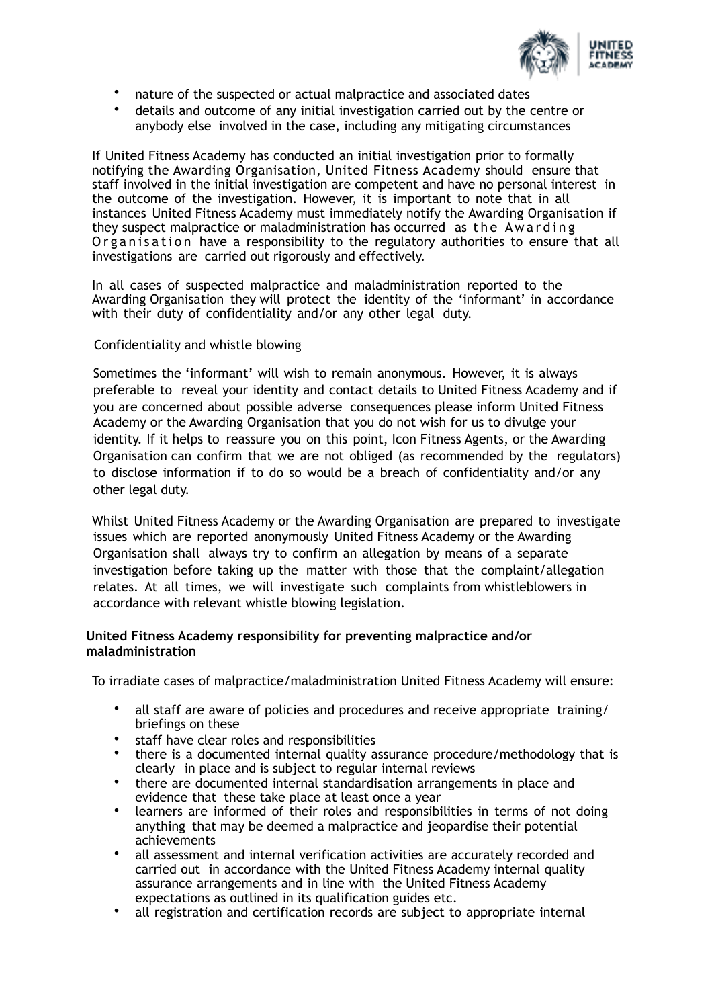

- nature of the suspected or actual malpractice and associated dates
- details and outcome of any initial investigation carried out by the centre or anybody else involved in the case, including any mitigating circumstances

If United Fitness Academy has conducted an initial investigation prior to formally notifying the Awarding Organisation, United Fitness Academy should ensure that staff involved in the initial investigation are competent and have no personal interest in the outcome of the investigation. However, it is important to note that in all instances United Fitness Academy must immediately notify the Awarding Organisation if they suspect malpractice or maladministration has occurred as the Awarding Organisation have a responsibility to the regulatory authorities to ensure that all investigations are carried out rigorously and effectively.

In all cases of suspected malpractice and maladministration reported to the Awarding Organisation they will protect the identity of the 'informant' in accordance with their duty of confidentiality and/or any other legal duty.

# Confidentiality and whistle blowing

Sometimes the 'informant' will wish to remain anonymous. However, it is always preferable to reveal your identity and contact details to United Fitness Academy and if you are concerned about possible adverse consequences please inform United Fitness Academy or the Awarding Organisation that you do not wish for us to divulge your identity. If it helps to reassure you on this point, Icon Fitness Agents, or the Awarding Organisation can confirm that we are not obliged (as recommended by the regulators) to disclose information if to do so would be a breach of confidentiality and/or any other legal duty.

Whilst United Fitness Academy or the Awarding Organisation are prepared to investigate issues which are reported anonymously United Fitness Academy or the Awarding Organisation shall always try to confirm an allegation by means of a separate investigation before taking up the matter with those that the complaint/allegation relates. At all times, we will investigate such complaints from whistleblowers in accordance with relevant whistle blowing legislation.

## **United Fitness Academy responsibility for preventing malpractice and/or maladministration**

To irradiate cases of malpractice/maladministration United Fitness Academy will ensure:

- all staff are aware of policies and procedures and receive appropriate training/ briefings on these
- staff have clear roles and responsibilities
- there is a documented internal quality assurance procedure/methodology that is clearly in place and is subject to regular internal reviews
- there are documented internal standardisation arrangements in place and evidence that these take place at least once a year
- learners are informed of their roles and responsibilities in terms of not doing anything that may be deemed a malpractice and jeopardise their potential achievements
- all assessment and internal verification activities are accurately recorded and carried out in accordance with the United Fitness Academy internal quality assurance arrangements and in line with the United Fitness Academy expectations as outlined in its qualification guides etc.
- all registration and certification records are subject to appropriate internal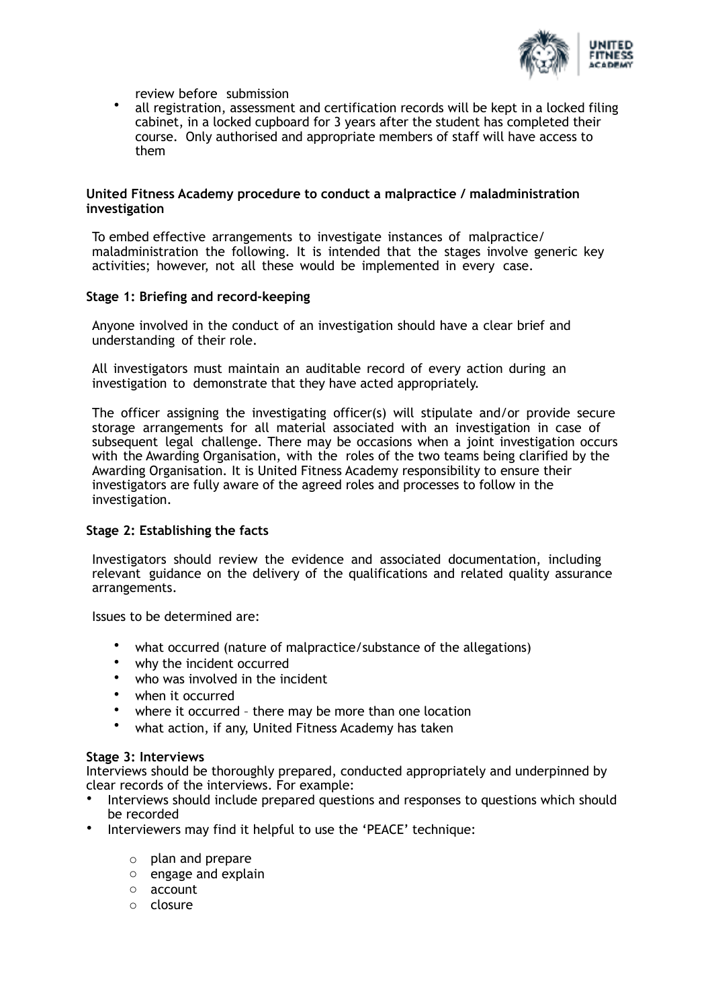

review before submission

• all registration, assessment and certification records will be kept in a locked filing cabinet, in a locked cupboard for 3 years after the student has completed their course. Only authorised and appropriate members of staff will have access to them

#### **United Fitness Academy procedure to conduct a malpractice / maladministration investigation**

To embed effective arrangements to investigate instances of malpractice/ maladministration the following. It is intended that the stages involve generic key activities; however, not all these would be implemented in every case.

## **Stage 1: Briefing and record-keeping**

Anyone involved in the conduct of an investigation should have a clear brief and understanding of their role.

All investigators must maintain an auditable record of every action during an investigation to demonstrate that they have acted appropriately.

The officer assigning the investigating officer(s) will stipulate and/or provide secure storage arrangements for all material associated with an investigation in case of subsequent legal challenge. There may be occasions when a joint investigation occurs with the Awarding Organisation, with the roles of the two teams being clarified by the Awarding Organisation. It is United Fitness Academy responsibility to ensure their investigators are fully aware of the agreed roles and processes to follow in the investigation.

# **Stage 2: Establishing the facts**

Investigators should review the evidence and associated documentation, including relevant guidance on the delivery of the qualifications and related quality assurance arrangements.

Issues to be determined are:

- what occurred (nature of malpractice/substance of the allegations)
- why the incident occurred
- who was involved in the incident
- when it occurred
- where it occurred there may be more than one location
- what action, if any, United Fitness Academy has taken

#### **Stage 3: Interviews**

Interviews should be thoroughly prepared, conducted appropriately and underpinned by clear records of the interviews. For example:

- Interviews should include prepared questions and responses to questions which should be recorded
- Interviewers may find it helpful to use the 'PEACE' technique:
	- o plan and prepare
	- o engage and explain
	- o account
	- o closure